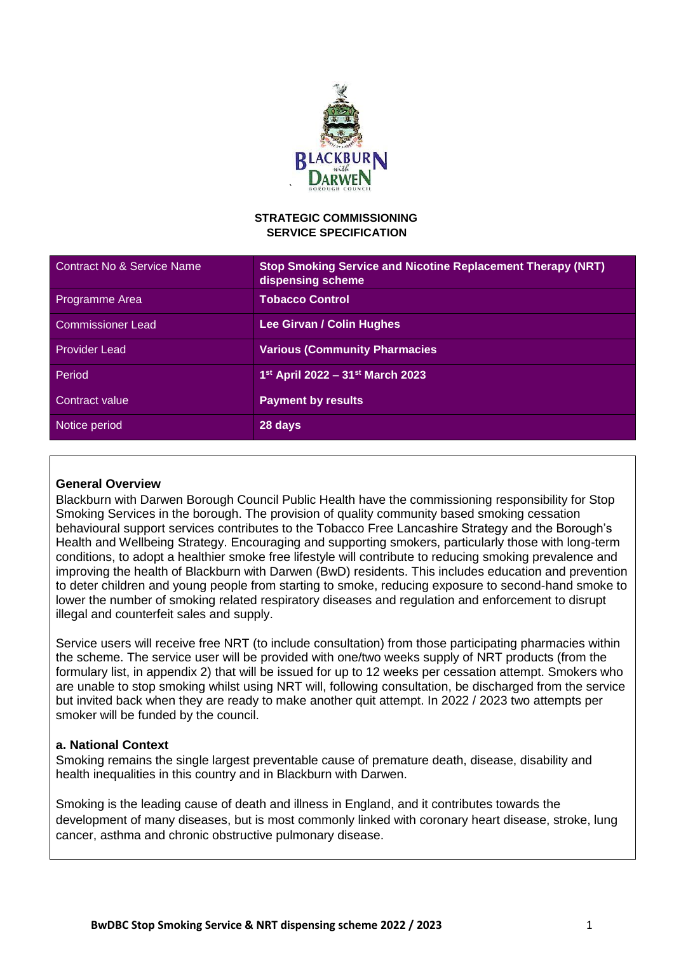

### **STRATEGIC COMMISSIONING SERVICE SPECIFICATION**

| Contract No & Service Name | <b>Stop Smoking Service and Nicotine Replacement Therapy (NRT)</b><br>dispensing scheme |
|----------------------------|-----------------------------------------------------------------------------------------|
| Programme Area             | <b>Tobacco Control</b>                                                                  |
| <b>Commissioner Lead</b>   | Lee Girvan / Colin Hughes                                                               |
| <b>Provider Lead</b>       | <b>Various (Community Pharmacies</b>                                                    |
| Period                     | 1st April 2022 - 31st March 2023                                                        |
| Contract value             | <b>Payment by results</b>                                                               |
| Notice period              | 28 days                                                                                 |

### **General Overview**

Blackburn with Darwen Borough Council Public Health have the commissioning responsibility for Stop Smoking Services in the borough. The provision of quality community based smoking cessation behavioural support services contributes to the Tobacco Free Lancashire Strategy and the Borough's Health and Wellbeing Strategy. Encouraging and supporting smokers, particularly those with long-term conditions, to adopt a healthier smoke free lifestyle will contribute to reducing smoking prevalence and improving the health of Blackburn with Darwen (BwD) residents. This includes education and prevention to deter children and young people from starting to smoke, reducing exposure to second-hand smoke to lower the number of smoking related respiratory diseases and regulation and enforcement to disrupt illegal and counterfeit sales and supply.

Service users will receive free NRT (to include consultation) from those participating pharmacies within the scheme. The service user will be provided with one/two weeks supply of NRT products (from the formulary list, in appendix 2) that will be issued for up to 12 weeks per cessation attempt. Smokers who are unable to stop smoking whilst using NRT will, following consultation, be discharged from the service but invited back when they are ready to make another quit attempt. In 2022 / 2023 two attempts per smoker will be funded by the council.

### **a. National Context**

Smoking remains the single largest preventable cause of premature death, disease, disability and health inequalities in this country and in Blackburn with Darwen.

Smoking is the leading cause of death and illness in England, and it contributes towards the development of many diseases, but is most commonly linked with coronary heart disease, stroke, lung cancer, asthma and chronic obstructive pulmonary disease.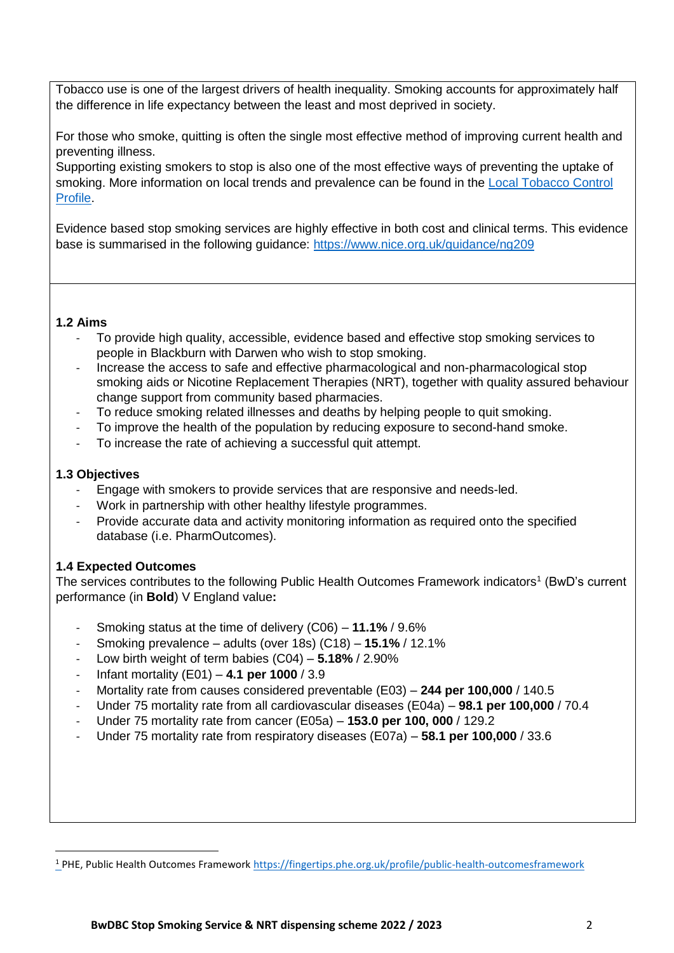Tobacco use is one of the largest drivers of health inequality. Smoking accounts for approximately half the difference in life expectancy between the least and most deprived in society.

For those who smoke, quitting is often the single most effective method of improving current health and preventing illness.

Supporting existing smokers to stop is also one of the most effective ways of preventing the uptake of smoking. More information on local trends and prevalence can be found in the Local Tobacco Control [Profile.](https://fingertips.phe.org.uk/profile/tobacco-control)

Evidence based stop smoking services are highly effective in both cost and clinical terms. This evidence base is summarised in the following guidance:<https://www.nice.org.uk/guidance/ng209>

### **1.2 Aims**

- To provide high quality, accessible, evidence based and effective stop smoking services to people in Blackburn with Darwen who wish to stop smoking.
- Increase the access to safe and effective pharmacological and non-pharmacological stop smoking aids or Nicotine Replacement Therapies (NRT), together with quality assured behaviour change support from community based pharmacies.
- To reduce smoking related illnesses and deaths by helping people to quit smoking.
- To improve the health of the population by reducing exposure to second-hand smoke.
- To increase the rate of achieving a successful quit attempt.

# **1.3 Objectives**

1

- Engage with smokers to provide services that are responsive and needs-led.
- Work in partnership with other healthy lifestyle programmes.
- Provide accurate data and activity monitoring information as required onto the specified database (i.e. PharmOutcomes).

# **1.4 Expected Outcomes**

The services contributes to the following Public Health Outcomes Framework indicators<sup>1</sup> (BwD's current performance (in **Bold**) V England value**:** 

- Smoking status at the time of delivery (C06) **11.1%** / 9.6%
- Smoking prevalence adults (over 18s) (C18) **15.1%** / 12.1%
- Low birth weight of term babies (C04) **5.18%** / 2.90%
- Infant mortality (E01) **4.1 per 1000** / 3.9
- Mortality rate from causes considered preventable (E03) **244 per 100,000** / 140.5
- Under 75 mortality rate from all cardiovascular diseases (E04a) **98.1 per 100,000** / 70.4
- Under 75 mortality rate from cancer (E05a) **153.0 per 100, 000** / 129.2
- Under 75 mortality rate from respiratory diseases (E07a) **58.1 per 100,000** / 33.6

<sup>1</sup> PHE, Public Health Outcomes Framework [https://fingertips.phe.org.uk/profile/public-health-outcomesframework](https://fingertips.phe.org.uk/profile/public-health-outcomes-framework)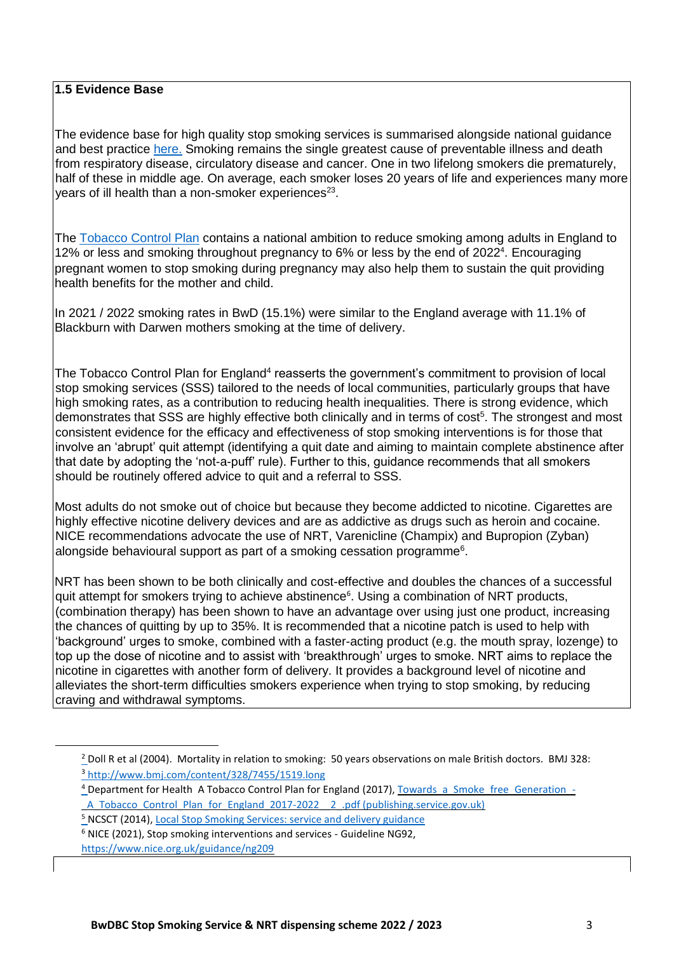## **1.5 Evidence Base**

The evidence base for high quality stop smoking services is summarised alongside national guidance and best practice [here.](https://www.nice.org.uk/guidance/ng92) Smoking remains the single greatest cause of preventable illness and death from respiratory disease, circulatory disease and cancer. One in two lifelong smokers die prematurely, half of these in middle age. On average, each smoker loses 20 years of life and experiences many more years of ill health than a non-smoker experiences<sup>23</sup>.

The [Tobacco Control Plan](https://www.gov.uk/government/publications/towards-a-smoke-free-generation-tobacco-control-plan-for-england) contains a national ambition to reduce smoking among adults in England to 12% or less and smoking throughout pregnancy to 6% or less by the end of 2022<sup>4</sup> . Encouraging pregnant women to stop smoking during pregnancy may also help them to sustain the quit providing health benefits for the mother and child.

In 2021 / 2022 smoking rates in BwD (15.1%) were similar to the England average with 11.1% of Blackburn with Darwen mothers smoking at the time of delivery.

The Tobacco Control Plan for England<sup>4</sup> reasserts the government's commitment to provision of local stop smoking services (SSS) tailored to the needs of local communities, particularly groups that have high smoking rates, as a contribution to reducing health inequalities. There is strong evidence, which demonstrates that SSS are highly effective both clinically and in terms of cost<sup>5</sup>. The strongest and most consistent evidence for the efficacy and effectiveness of stop smoking interventions is for those that involve an 'abrupt' quit attempt (identifying a quit date and aiming to maintain complete abstinence after that date by adopting the 'not-a-puff' rule). Further to this, guidance recommends that all smokers should be routinely offered advice to quit and a referral to SSS.

Most adults do not smoke out of choice but because they become addicted to nicotine. Cigarettes are highly effective nicotine delivery devices and are as addictive as drugs such as heroin and cocaine. NICE recommendations advocate the use of NRT, Varenicline (Champix) and Bupropion (Zyban) alongside behavioural support as part of a smoking cessation programme<sup>6</sup>.

NRT has been shown to be both clinically and cost-effective and doubles the chances of a successful quit attempt for smokers trying to achieve abstinence<sup>6</sup>. Using a combination of NRT products, (combination therapy) has been shown to have an advantage over using just one product, increasing the chances of quitting by up to 35%. It is recommended that a nicotine patch is used to help with 'background' urges to smoke, combined with a faster-acting product (e.g. the mouth spray, lozenge) to top up the dose of nicotine and to assist with 'breakthrough' urges to smoke. NRT aims to replace the nicotine in cigarettes with another form of delivery. It provides a background level of nicotine and alleviates the short-term difficulties smokers experience when trying to stop smoking, by reducing craving and withdrawal symptoms.

<sup>5</sup> NCSCT (2014)[, Local Stop Smoking Services: service and delivery guidance](https://www.ncsct.co.uk/usr/pub/LSSS_service_delivery_guidance.pdf)

-

<sup>&</sup>lt;sup>2</sup> Doll R et al (2004). Mortality in relation to smoking: 50 years observations on male British doctors. BMJ 328: <sup>3</sup> <http://www.bmj.com/content/328/7455/1519.long>

<sup>4</sup> Department for Health A Tobacco Control Plan for England (2017), Towards a Smoke free Generation -[\\_A\\_Tobacco\\_Control\\_Plan\\_for\\_England\\_2017-2022\\_\\_2\\_.pdf \(publishing.service.gov.uk\)](https://assets.publishing.service.gov.uk/government/uploads/system/uploads/attachment_data/file/630217/Towards_a_Smoke_free_Generation_-_A_Tobacco_Control_Plan_for_England_2017-2022__2_.pdf)

<sup>6</sup> NICE (2021), Stop smoking interventions and services - Guideline NG92,

<https://www.nice.org.uk/guidance/ng209>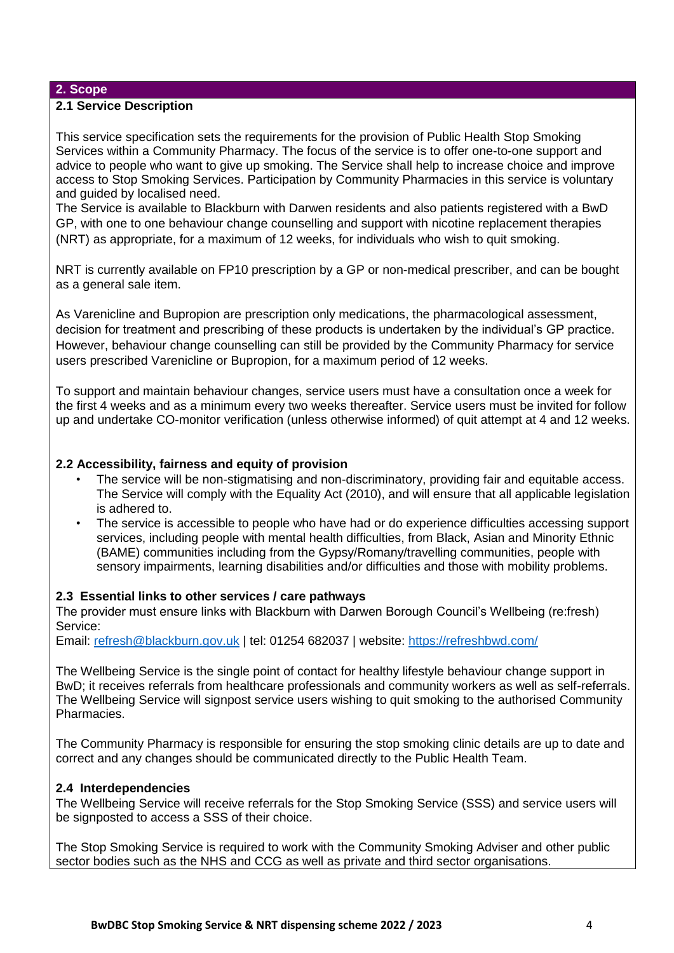### **2. Scope**

### **2.1 Service Description**

This service specification sets the requirements for the provision of Public Health Stop Smoking Services within a Community Pharmacy. The focus of the service is to offer one-to-one support and advice to people who want to give up smoking. The Service shall help to increase choice and improve access to Stop Smoking Services. Participation by Community Pharmacies in this service is voluntary and guided by localised need.

The Service is available to Blackburn with Darwen residents and also patients registered with a BwD GP, with one to one behaviour change counselling and support with nicotine replacement therapies (NRT) as appropriate, for a maximum of 12 weeks, for individuals who wish to quit smoking.

NRT is currently available on FP10 prescription by a GP or non-medical prescriber, and can be bought as a general sale item.

As Varenicline and Bupropion are prescription only medications, the pharmacological assessment, decision for treatment and prescribing of these products is undertaken by the individual's GP practice. However, behaviour change counselling can still be provided by the Community Pharmacy for service users prescribed Varenicline or Bupropion, for a maximum period of 12 weeks.

To support and maintain behaviour changes, service users must have a consultation once a week for the first 4 weeks and as a minimum every two weeks thereafter. Service users must be invited for follow up and undertake CO-monitor verification (unless otherwise informed) of quit attempt at 4 and 12 weeks.

### **2.2 Accessibility, fairness and equity of provision**

- The service will be non-stigmatising and non-discriminatory, providing fair and equitable access. The Service will comply with the Equality Act (2010), and will ensure that all applicable legislation is adhered to.
- The service is accessible to people who have had or do experience difficulties accessing support services, including people with mental health difficulties, from Black, Asian and Minority Ethnic (BAME) communities including from the Gypsy/Romany/travelling communities, people with sensory impairments, learning disabilities and/or difficulties and those with mobility problems.

### **2.3 Essential links to other services / care pathways**

The provider must ensure links with Blackburn with Darwen Borough Council's Wellbeing (re:fresh) Service:

Email: refresh@blackburn.gov.uk | tel: 01254 682037 | website:<https://refreshbwd.com/>

The Wellbeing Service is the single point of contact for healthy lifestyle behaviour change support in BwD; it receives referrals from healthcare professionals and community workers as well as self-referrals. The Wellbeing Service will signpost service users wishing to quit smoking to the authorised Community Pharmacies.

The Community Pharmacy is responsible for ensuring the stop smoking clinic details are up to date and correct and any changes should be communicated directly to the Public Health Team.

### **2.4 Interdependencies**

The Wellbeing Service will receive referrals for the Stop Smoking Service (SSS) and service users will be signposted to access a SSS of their choice.

The Stop Smoking Service is required to work with the Community Smoking Adviser and other public sector bodies such as the NHS and CCG as well as private and third sector organisations.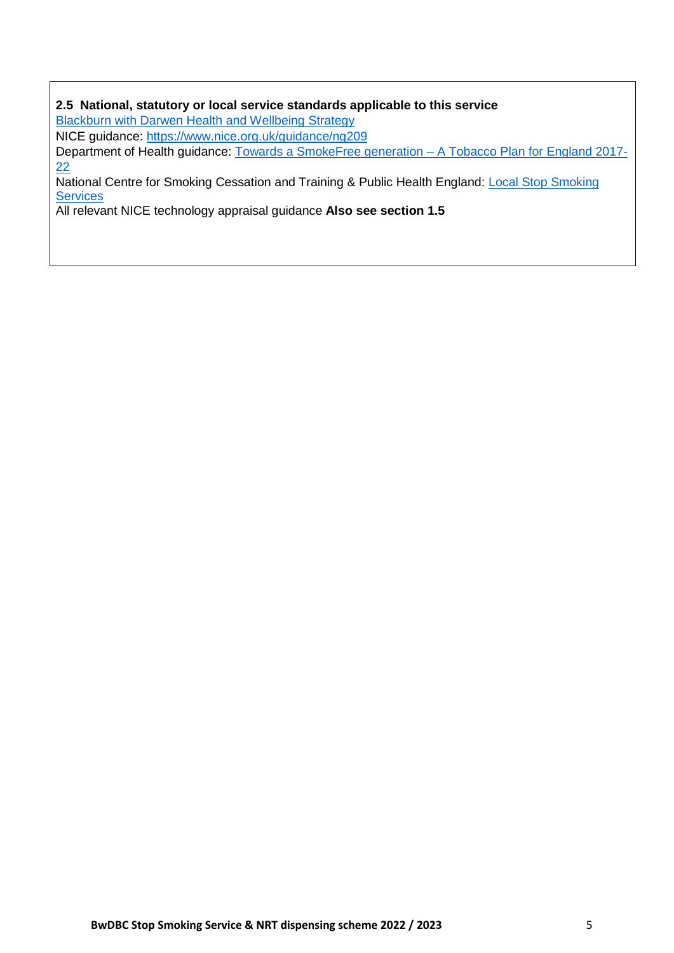### **2.5 National, statutory or local service standards applicable to this service**  [Blackburn with Darwen Health and Wellbeing Strategy](https://www.blackburn.gov.uk/sites/default/files/media/pdfs/BwD%20Health%20and%20Wellbeing%20Strategy.pdf)

NICE guidance:<https://www.nice.org.uk/guidance/ng209>

Department of Health guidance: [Towards a SmokeFree generation –](https://www.ncsct.co.uk/usr/pub/Towards%20a%20Smoke%20free%20Generation%20-%20A%20Tobacco%20Control%20Plan%20for%20England%202017-2022.pdf) [A Tobacco Plan for England 2017-](https://www.ncsct.co.uk/usr/pub/Towards%20a%20Smoke%20free%20Generation%20-%20A%20Tobacco%20Control%20Plan%20for%20England%202017-2022.pdf) [22](https://www.ncsct.co.uk/usr/pub/Towards%20a%20Smoke%20free%20Generation%20-%20A%20Tobacco%20Control%20Plan%20for%20England%202017-2022.pdf)

National Centre for Smoking Cessation and Training & Public Health England: [Local Stop Smoking](https://www.ncsct.co.uk/usr/pub/LSSS_service_delivery_guidance.pdf) **[Services](https://www.ncsct.co.uk/usr/pub/LSSS_service_delivery_guidance.pdf)** 

All relevant NICE technology appraisal guidance **Also see section 1.5**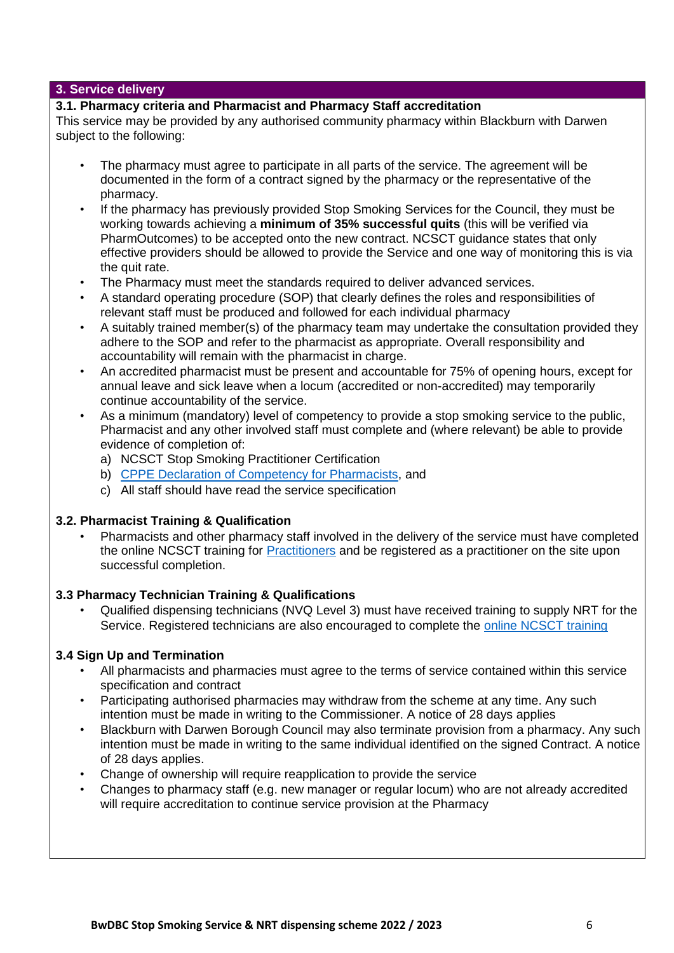### **3. Service delivery**

### **3.1. Pharmacy criteria and Pharmacist and Pharmacy Staff accreditation**

This service may be provided by any authorised community pharmacy within Blackburn with Darwen subject to the following:

- The pharmacy must agree to participate in all parts of the service. The agreement will be documented in the form of a contract signed by the pharmacy or the representative of the pharmacy.
- If the pharmacy has previously provided Stop Smoking Services for the Council, they must be working towards achieving a **minimum of 35% successful quits** (this will be verified via PharmOutcomes) to be accepted onto the new contract. NCSCT guidance states that only effective providers should be allowed to provide the Service and one way of monitoring this is via the quit rate.
- The Pharmacy must meet the standards required to deliver advanced services.
- A standard operating procedure (SOP) that clearly defines the roles and responsibilities of relevant staff must be produced and followed for each individual pharmacy
- A suitably trained member(s) of the pharmacy team may undertake the consultation provided they adhere to the SOP and refer to the pharmacist as appropriate. Overall responsibility and accountability will remain with the pharmacist in charge.
- An accredited pharmacist must be present and accountable for 75% of opening hours, except for annual leave and sick leave when a locum (accredited or non-accredited) may temporarily continue accountability of the service.
- As a minimum (mandatory) level of competency to provide a stop smoking service to the public, Pharmacist and any other involved staff must complete and (where relevant) be able to provide evidence of completion of:
	- a) NCSCT Stop Smoking Practitioner Certification
	- b) [CPPE Declaration of Competency for Pharmacists,](https://www.cppe.ac.uk/services/declaration-of-competence) and
	- c) All staff should have read the service specification

### **3.2. Pharmacist Training & Qualification**

• Pharmacists and other pharmacy staff involved in the delivery of the service must have completed the online NCSCT training for [Practitioners](https://elearning.ncsct.co.uk/england) and be registered as a practitioner on the site upon successful completion.

# **3.3 Pharmacy Technician Training & Qualifications**

• Qualified dispensing technicians (NVQ Level 3) must have received training to supply NRT for the Service. Registered technicians are also encouraged to complete the [online NCSCT training](https://www.ncsct.co.uk/pub_training.php)

### **3.4 Sign Up and Termination**

- All pharmacists and pharmacies must agree to the terms of service contained within this service specification and contract
- Participating authorised pharmacies may withdraw from the scheme at any time. Any such intention must be made in writing to the Commissioner. A notice of 28 days applies
- Blackburn with Darwen Borough Council may also terminate provision from a pharmacy. Any such intention must be made in writing to the same individual identified on the signed Contract. A notice of 28 days applies.
- Change of ownership will require reapplication to provide the service
- Changes to pharmacy staff (e.g. new manager or regular locum) who are not already accredited will require accreditation to continue service provision at the Pharmacy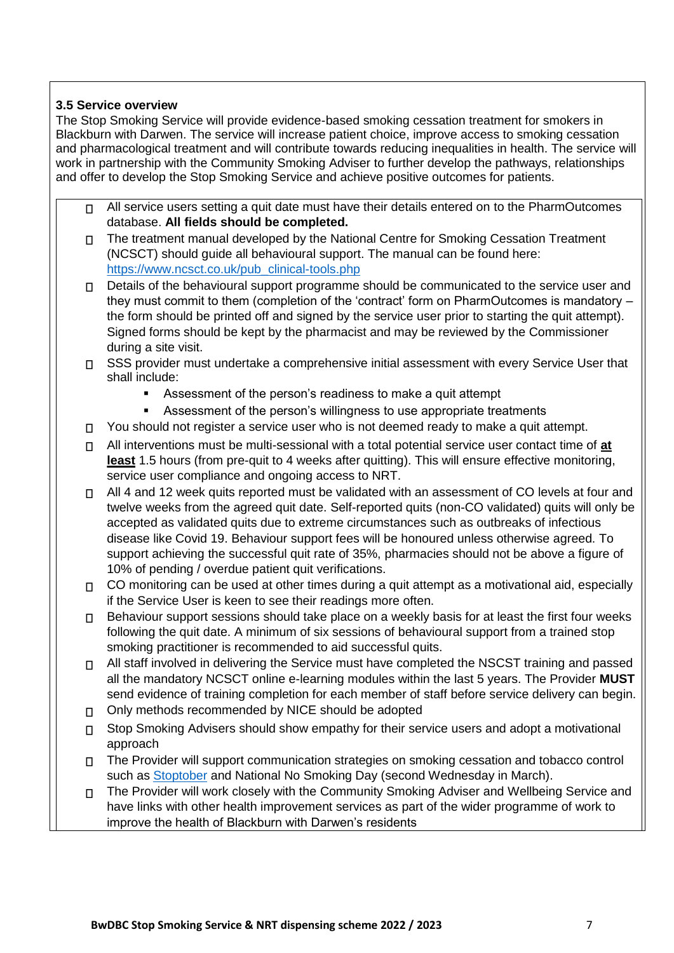# **3.5 Service overview**

The Stop Smoking Service will provide evidence-based smoking cessation treatment for smokers in Blackburn with Darwen. The service will increase patient choice, improve access to smoking cessation and pharmacological treatment and will contribute towards reducing inequalities in health. The service will work in partnership with the Community Smoking Adviser to further develop the pathways, relationships and offer to develop the Stop Smoking Service and achieve positive outcomes for patients.

- All service users setting a quit date must have their details entered on to the PharmOutcomes  $\Box$ database. **All fields should be completed.**
- The treatment manual developed by the National Centre for Smoking Cessation Treatment  $\Box$ (NCSCT) should guide all behavioural support. The manual can be found here: [https://www.ncsct.co.uk/pub\\_clinical-tools.php](https://www.ncsct.co.uk/pub_clinical-tools.php)
- $□$  Details of the behavioural support programme should be communicated to the service user and they must commit to them (completion of the 'contract' form on PharmOutcomes is mandatory – the form should be printed off and signed by the service user prior to starting the quit attempt). Signed forms should be kept by the pharmacist and may be reviewed by the Commissioner during a site visit.
- □ SSS provider must undertake a comprehensive initial assessment with every Service User that shall include:
	- Assessment of the person's readiness to make a quit attempt
	- Assessment of the person's willingness to use appropriate treatments
- $\Box$  You should not register a service user who is not deemed ready to make a quit attempt.
- All interventions must be multi-sessional with a total potential service user contact time of **at least** 1.5 hours (from pre-quit to 4 weeks after quitting). This will ensure effective monitoring, service user compliance and ongoing access to NRT.
- $\Box$  All 4 and 12 week quits reported must be validated with an assessment of CO levels at four and twelve weeks from the agreed quit date. Self-reported quits (non-CO validated) quits will only be accepted as validated quits due to extreme circumstances such as outbreaks of infectious disease like Covid 19. Behaviour support fees will be honoured unless otherwise agreed. To support achieving the successful quit rate of 35%, pharmacies should not be above a figure of 10% of pending / overdue patient quit verifications.
- □ CO monitoring can be used at other times during a quit attempt as a motivational aid, especially if the Service User is keen to see their readings more often.
- $\Box$  Behaviour support sessions should take place on a weekly basis for at least the first four weeks following the quit date. A minimum of six sessions of behavioural support from a trained stop smoking practitioner is recommended to aid successful quits.
- All staff involved in delivering the Service must have completed the NSCST training and passed  $\Box$ all the mandatory NCSCT online e-learning modules within the last 5 years. The Provider **MUST** send evidence of training completion for each member of staff before service delivery can begin.
- Only methods recommended by NICE should be adopted  $\Box$
- Stop Smoking Advisers should show empathy for their service users and adopt a motivational  $\Box$ approach
- The Provider will support communication strategies on smoking cessation and tobacco control  $\Box$ such as [Stoptober](https://www.nhs.uk/oneyou/for-your-body/quit-smoking/stoptober/) and National No Smoking Day (second Wednesday in March).
- The Provider will work closely with the Community Smoking Adviser and Wellbeing Service and  $\Box$ have links with other health improvement services as part of the wider programme of work to improve the health of Blackburn with Darwen's residents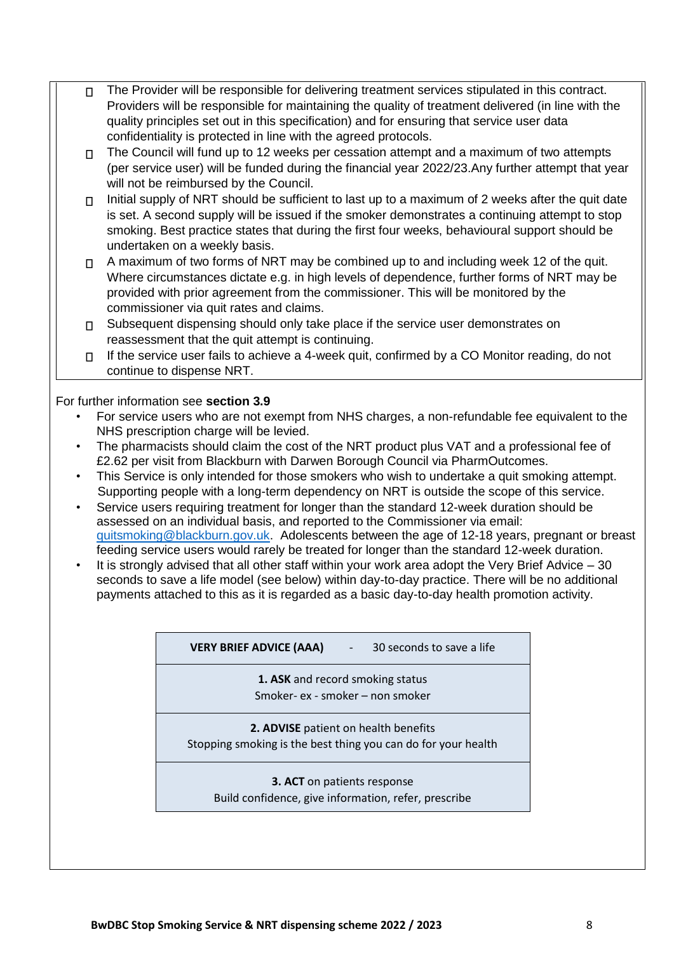- The Provider will be responsible for delivering treatment services stipulated in this contract.  $\Box$ Providers will be responsible for maintaining the quality of treatment delivered (in line with the quality principles set out in this specification) and for ensuring that service user data confidentiality is protected in line with the agreed protocols.
	- The Council will fund up to 12 weeks per cessation attempt and a maximum of two attempts  $\Box$ (per service user) will be funded during the financial year 2022/23.Any further attempt that year will not be reimbursed by the Council.
	- Initial supply of NRT should be sufficient to last up to a maximum of 2 weeks after the quit date  $\Box$ is set. A second supply will be issued if the smoker demonstrates a continuing attempt to stop smoking. Best practice states that during the first four weeks, behavioural support should be undertaken on a weekly basis.
	- $\Box$  A maximum of two forms of NRT may be combined up to and including week 12 of the quit. Where circumstances dictate e.g. in high levels of dependence, further forms of NRT may be provided with prior agreement from the commissioner. This will be monitored by the commissioner via quit rates and claims.
	- □ Subsequent dispensing should only take place if the service user demonstrates on reassessment that the quit attempt is continuing.
	- If the service user fails to achieve a 4-week quit, confirmed by a CO Monitor reading, do not  $\Box$ continue to dispense NRT.

# For further information see **section 3.9**

- For service users who are not exempt from NHS charges, a non-refundable fee equivalent to the NHS prescription charge will be levied.
- The pharmacists should claim the cost of the NRT product plus VAT and a professional fee of £2.62 per visit from Blackburn with Darwen Borough Council via PharmOutcomes.
- This Service is only intended for those smokers who wish to undertake a quit smoking attempt. Supporting people with a long-term dependency on NRT is outside the scope of this service.
- Service users requiring treatment for longer than the standard 12-week duration should be assessed on an individual basis, and reported to the Commissioner via email: quitsmoking@blackburn.gov.uk. Adolescents between the age of 12-18 years, pregnant or breast feeding service users would rarely be treated for longer than the standard 12-week duration.
- It is strongly advised that all other staff within your work area adopt the Very Brief Advice 30 seconds to save a life model (see below) within day-to-day practice. There will be no additional payments attached to this as it is regarded as a basic day-to-day health promotion activity.

**VERY BRIEF ADVICE (AAA)** - 30 seconds to save a life

**1. ASK** and record smoking status Smoker- ex - smoker – non smoker

**2. ADVISE** patient on health benefits Stopping smoking is the best thing you can do for your health

## **3. ACT** on patients response Build confidence, give information, refer, prescribe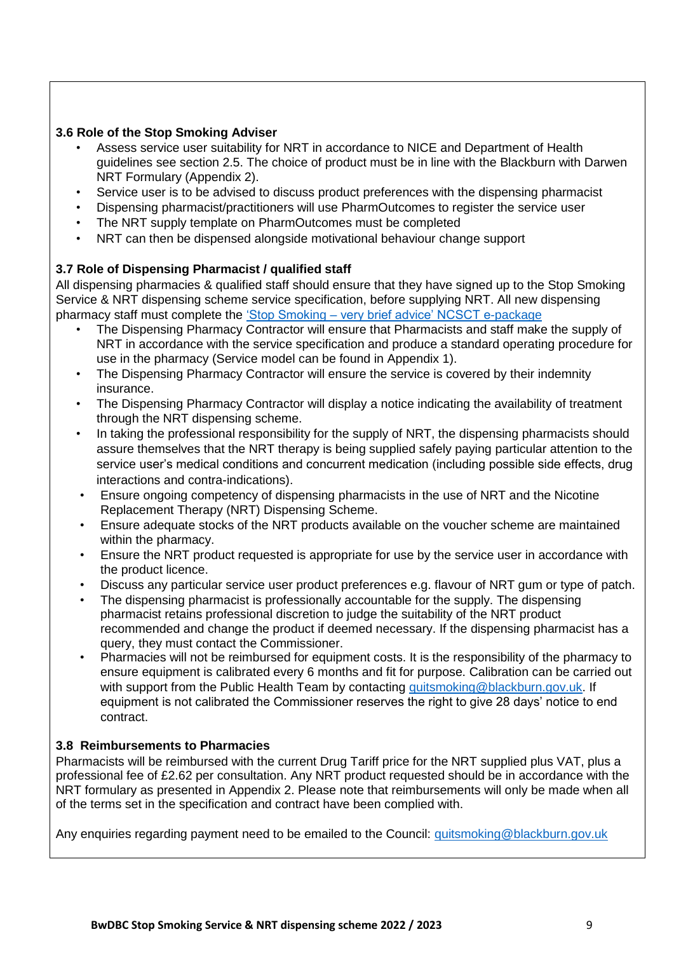# **3.6 Role of the Stop Smoking Adviser**

- Assess service user suitability for NRT in accordance to NICE and Department of Health guidelines see section 2.5. The choice of product must be in line with the Blackburn with Darwen NRT Formulary (Appendix 2).
- Service user is to be advised to discuss product preferences with the dispensing pharmacist
- Dispensing pharmacist/practitioners will use PharmOutcomes to register the service user
- The NRT supply template on PharmOutcomes must be completed
- NRT can then be dispensed alongside motivational behaviour change support

## **3.7 Role of Dispensing Pharmacist / qualified staff**

All dispensing pharmacies & qualified staff should ensure that they have signed up to the Stop Smoking Service & NRT dispensing scheme service specification, before supplying NRT. All new dispensing pharmacy staff must complete the ['Stop Smoking –](https://elearning.ncsct.co.uk/england) [very brief advice' NCSCT e-package](https://elearning.ncsct.co.uk/england)

- The Dispensing Pharmacy Contractor will ensure that Pharmacists and staff make the supply of NRT in accordance with the service specification and produce a standard operating procedure for use in the pharmacy (Service model can be found in Appendix 1).
- The Dispensing Pharmacy Contractor will ensure the service is covered by their indemnity insurance.
- The Dispensing Pharmacy Contractor will display a notice indicating the availability of treatment through the NRT dispensing scheme.
- In taking the professional responsibility for the supply of NRT, the dispensing pharmacists should assure themselves that the NRT therapy is being supplied safely paying particular attention to the service user's medical conditions and concurrent medication (including possible side effects, drug interactions and contra-indications).
- Ensure ongoing competency of dispensing pharmacists in the use of NRT and the Nicotine Replacement Therapy (NRT) Dispensing Scheme.
- Ensure adequate stocks of the NRT products available on the voucher scheme are maintained within the pharmacy.
- Ensure the NRT product requested is appropriate for use by the service user in accordance with the product licence.
- Discuss any particular service user product preferences e.g. flavour of NRT gum or type of patch.
- The dispensing pharmacist is professionally accountable for the supply. The dispensing pharmacist retains professional discretion to judge the suitability of the NRT product recommended and change the product if deemed necessary. If the dispensing pharmacist has a query, they must contact the Commissioner.
- Pharmacies will not be reimbursed for equipment costs. It is the responsibility of the pharmacy to ensure equipment is calibrated every 6 months and fit for purpose. Calibration can be carried out with support from the Public Health Team by contacting [quitsmoking@blackburn.gov.uk.](mailto:quitsmoking@blackburn.gov.uk) If equipment is not calibrated the Commissioner reserves the right to give 28 days' notice to end contract.

### **3.8 Reimbursements to Pharmacies**

Pharmacists will be reimbursed with the current Drug Tariff price for the NRT supplied plus VAT, plus a professional fee of £2.62 per consultation. Any NRT product requested should be in accordance with the NRT formulary as presented in Appendix 2. Please note that reimbursements will only be made when all of the terms set in the specification and contract have been complied with.

Any enquiries regarding payment need to be emailed to the Council: quitsmoking@blackburn.gov.uk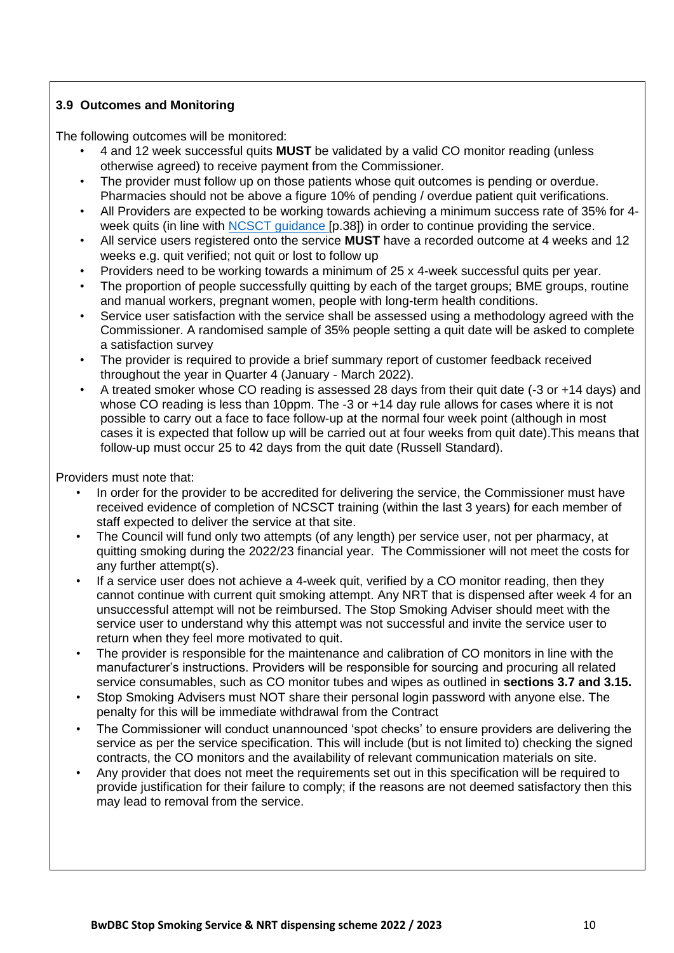# **3.9 Outcomes and Monitoring**

The following outcomes will be monitored:

- 4 and 12 week successful quits **MUST** be validated by a valid CO monitor reading (unless otherwise agreed) to receive payment from the Commissioner.
- The provider must follow up on those patients whose quit outcomes is pending or overdue. Pharmacies should not be above a figure 10% of pending / overdue patient quit verifications.
- All Providers are expected to be working towards achieving a minimum success rate of 35% for 4 week quits (in line with [NCSCT guidance](https://www.ncsct.co.uk/usr/pub/LSSS_service_delivery_guidance.pdf) [p.38]) in order to continue providing the service.
- All service users registered onto the service **MUST** have a recorded outcome at 4 weeks and 12 weeks e.g. quit verified; not quit or lost to follow up
- Providers need to be working towards a minimum of 25 x 4-week successful quits per year.
- The proportion of people successfully quitting by each of the target groups; BME groups, routine and manual workers, pregnant women, people with long-term health conditions.
- Service user satisfaction with the service shall be assessed using a methodology agreed with the Commissioner. A randomised sample of 35% people setting a quit date will be asked to complete a satisfaction survey
- The provider is required to provide a brief summary report of customer feedback received throughout the year in Quarter 4 (January - March 2022).
- A treated smoker whose CO reading is assessed 28 days from their quit date (-3 or +14 days) and whose CO reading is less than 10ppm. The -3 or +14 day rule allows for cases where it is not possible to carry out a face to face follow-up at the normal four week point (although in most cases it is expected that follow up will be carried out at four weeks from quit date).This means that follow-up must occur 25 to 42 days from the quit date (Russell Standard).

Providers must note that:

- In order for the provider to be accredited for delivering the service, the Commissioner must have received evidence of completion of NCSCT training (within the last 3 years) for each member of staff expected to deliver the service at that site.
- The Council will fund only two attempts (of any length) per service user, not per pharmacy, at quitting smoking during the 2022/23 financial year. The Commissioner will not meet the costs for any further attempt(s).
- If a service user does not achieve a 4-week quit, verified by a CO monitor reading, then they cannot continue with current quit smoking attempt. Any NRT that is dispensed after week 4 for an unsuccessful attempt will not be reimbursed. The Stop Smoking Adviser should meet with the service user to understand why this attempt was not successful and invite the service user to return when they feel more motivated to quit.
- The provider is responsible for the maintenance and calibration of CO monitors in line with the manufacturer's instructions. Providers will be responsible for sourcing and procuring all related service consumables, such as CO monitor tubes and wipes as outlined in **sections 3.7 and 3.15.**
- Stop Smoking Advisers must NOT share their personal login password with anyone else. The penalty for this will be immediate withdrawal from the Contract
- The Commissioner will conduct unannounced 'spot checks' to ensure providers are delivering the service as per the service specification. This will include (but is not limited to) checking the signed contracts, the CO monitors and the availability of relevant communication materials on site.
- Any provider that does not meet the requirements set out in this specification will be required to provide justification for their failure to comply; if the reasons are not deemed satisfactory then this may lead to removal from the service.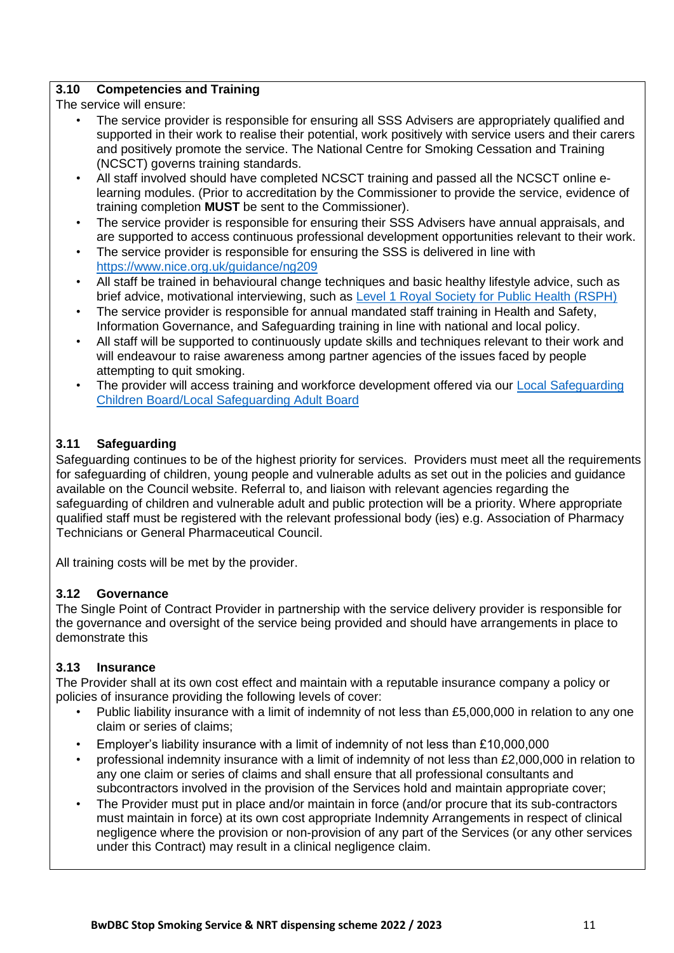# **3.10 Competencies and Training**

The service will ensure:

- The service provider is responsible for ensuring all SSS Advisers are appropriately qualified and supported in their work to realise their potential, work positively with service users and their carers and positively promote the service. The National Centre for Smoking Cessation and Training (NCSCT) governs training standards.
- All staff involved should have completed NCSCT training and passed all the NCSCT online elearning modules. (Prior to accreditation by the Commissioner to provide the service, evidence of training completion **MUST** be sent to the Commissioner).
- The service provider is responsible for ensuring their SSS Advisers have annual appraisals, and are supported to access continuous professional development opportunities relevant to their work.
- The service provider is responsible for ensuring the SSS is delivered in line with [https://www.nice.org.uk/guidance/ng209](file://///admmxi/users/users2/Colin_Hughes/Tobacco/Specifications/2022%202023/SSS%20%20NRT%20Integrated%20Service%20Specification%202022%2023%20DRAFT%20V1.docx)
- All staff be trained in behavioural change techniques and basic healthy lifestyle advice, such as brief advice, motivational interviewing, such as [Level 1 Royal Society for Public Health \(RSPH\)](https://www.rsph.org.uk/our-services/e-learning/courses/level-1-health-improvement.html#Target)
- The service provider is responsible for annual mandated staff training in Health and Safety, Information Governance, and Safeguarding training in line with national and local policy.
- All staff will be supported to continuously update skills and techniques relevant to their work and will endeavour to raise awareness among partner agencies of the issues faced by people attempting to quit smoking.
- The provider will access training and workforce development offered via our [Local Safeguarding](http://www.lscb.org.uk/training/) [Children](http://www.lscb.org.uk/training/) [Board/Local Safeguarding Adult](http://www.lscb.org.uk/training/) [Board](http://www.lscb.org.uk/training/)

# **3.11 Safeguarding**

Safeguarding continues to be of the highest priority for services. Providers must meet all the requirements for safeguarding of children, young people and vulnerable adults as set out in the policies and guidance available on the Council website. Referral to, and liaison with relevant agencies regarding the safeguarding of children and vulnerable adult and public protection will be a priority. Where appropriate qualified staff must be registered with the relevant professional body (ies) e.g. Association of Pharmacy Technicians or General Pharmaceutical Council.

All training costs will be met by the provider.

# **3.12 Governance**

The Single Point of Contract Provider in partnership with the service delivery provider is responsible for the governance and oversight of the service being provided and should have arrangements in place to demonstrate this

# **3.13 Insurance**

The Provider shall at its own cost effect and maintain with a reputable insurance company a policy or policies of insurance providing the following levels of cover:

- Public liability insurance with a limit of indemnity of not less than £5,000,000 in relation to any one claim or series of claims;
- Employer's liability insurance with a limit of indemnity of not less than £10,000,000
- professional indemnity insurance with a limit of indemnity of not less than £2,000,000 in relation to any one claim or series of claims and shall ensure that all professional consultants and subcontractors involved in the provision of the Services hold and maintain appropriate cover;
- The Provider must put in place and/or maintain in force (and/or procure that its sub-contractors must maintain in force) at its own cost appropriate Indemnity Arrangements in respect of clinical negligence where the provision or non-provision of any part of the Services (or any other services under this Contract) may result in a clinical negligence claim.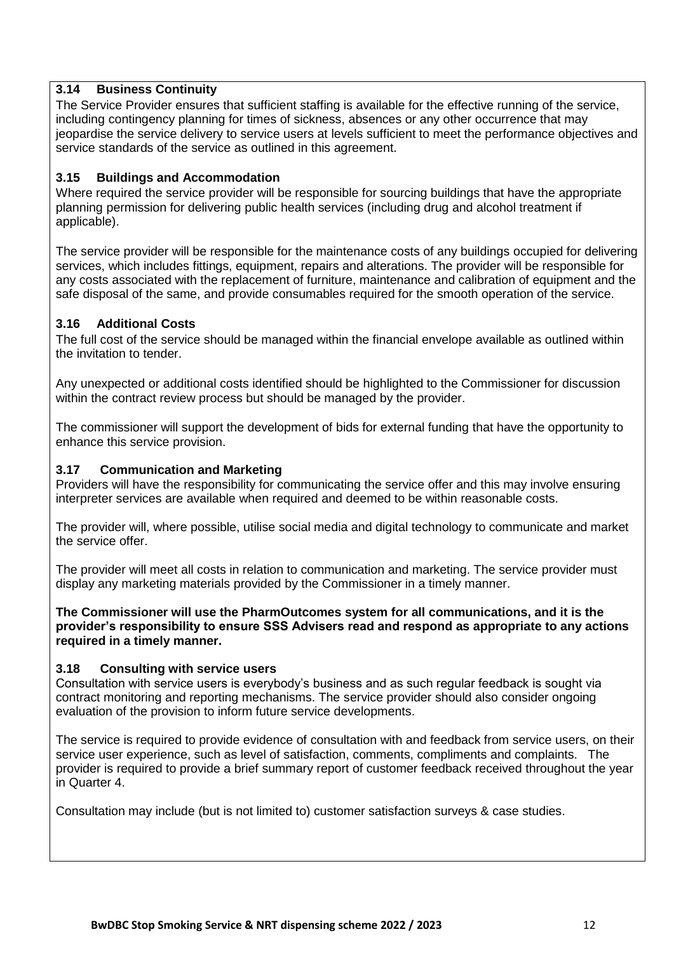## **3.14 Business Continuity**

The Service Provider ensures that sufficient staffing is available for the effective running of the service, including contingency planning for times of sickness, absences or any other occurrence that may jeopardise the service delivery to service users at levels sufficient to meet the performance objectives and service standards of the service as outlined in this agreement.

## **3.15 Buildings and Accommodation**

Where required the service provider will be responsible for sourcing buildings that have the appropriate planning permission for delivering public health services (including drug and alcohol treatment if applicable).

The service provider will be responsible for the maintenance costs of any buildings occupied for delivering services, which includes fittings, equipment, repairs and alterations. The provider will be responsible for any costs associated with the replacement of furniture, maintenance and calibration of equipment and the safe disposal of the same, and provide consumables required for the smooth operation of the service.

# **3.16 Additional Costs**

The full cost of the service should be managed within the financial envelope available as outlined within the invitation to tender.

Any unexpected or additional costs identified should be highlighted to the Commissioner for discussion within the contract review process but should be managed by the provider.

The commissioner will support the development of bids for external funding that have the opportunity to enhance this service provision.

## **3.17 Communication and Marketing**

Providers will have the responsibility for communicating the service offer and this may involve ensuring interpreter services are available when required and deemed to be within reasonable costs.

The provider will, where possible, utilise social media and digital technology to communicate and market the service offer.

The provider will meet all costs in relation to communication and marketing. The service provider must display any marketing materials provided by the Commissioner in a timely manner.

**The Commissioner will use the PharmOutcomes system for all communications, and it is the provider's responsibility to ensure SSS Advisers read and respond as appropriate to any actions required in a timely manner.** 

### **3.18 Consulting with service users**

Consultation with service users is everybody's business and as such regular feedback is sought via contract monitoring and reporting mechanisms. The service provider should also consider ongoing evaluation of the provision to inform future service developments.

The service is required to provide evidence of consultation with and feedback from service users, on their service user experience, such as level of satisfaction, comments, compliments and complaints. The provider is required to provide a brief summary report of customer feedback received throughout the year in Quarter 4.

Consultation may include (but is not limited to) customer satisfaction surveys & case studies.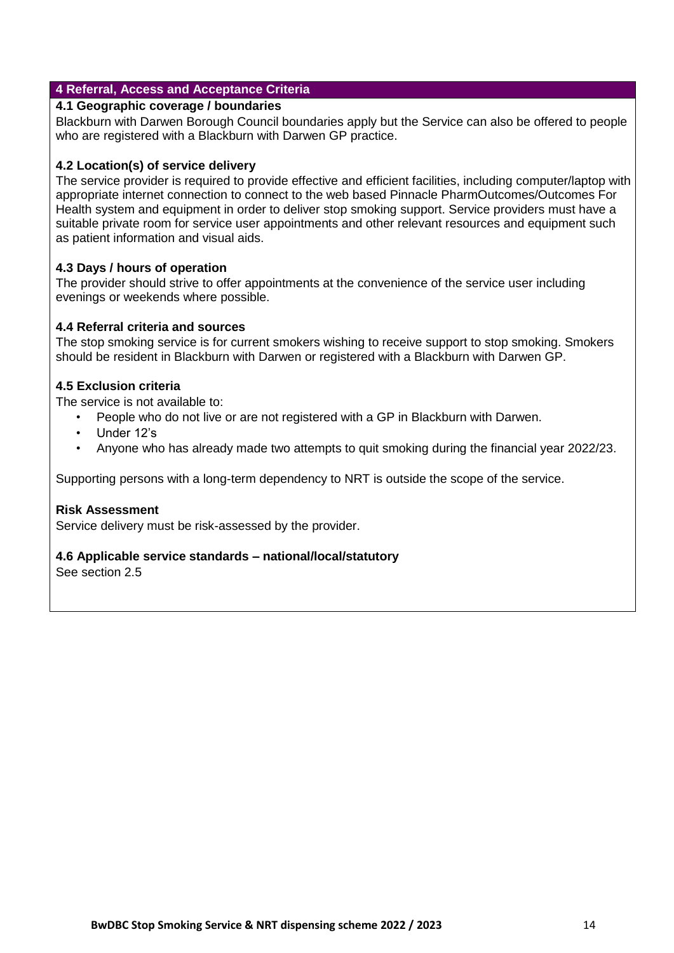## **4 Referral, Access and Acceptance Criteria**

### **4.1 Geographic coverage / boundaries**

Blackburn with Darwen Borough Council boundaries apply but the Service can also be offered to people who are registered with a Blackburn with Darwen GP practice.

### **4.2 Location(s) of service delivery**

The service provider is required to provide effective and efficient facilities, including computer/laptop with appropriate internet connection to connect to the web based Pinnacle PharmOutcomes/Outcomes For Health system and equipment in order to deliver stop smoking support. Service providers must have a suitable private room for service user appointments and other relevant resources and equipment such as patient information and visual aids.

## **4.3 Days / hours of operation**

The provider should strive to offer appointments at the convenience of the service user including evenings or weekends where possible.

## **4.4 Referral criteria and sources**

The stop smoking service is for current smokers wishing to receive support to stop smoking. Smokers should be resident in Blackburn with Darwen or registered with a Blackburn with Darwen GP.

## **4.5 Exclusion criteria**

The service is not available to:

- People who do not live or are not registered with a GP in Blackburn with Darwen.
- Under 12's
- Anyone who has already made two attempts to quit smoking during the financial year 2022/23.

Supporting persons with a long-term dependency to NRT is outside the scope of the service.

### **Risk Assessment**

Service delivery must be risk-assessed by the provider.

### **4.6 Applicable service standards – national/local/statutory**

See section 2.5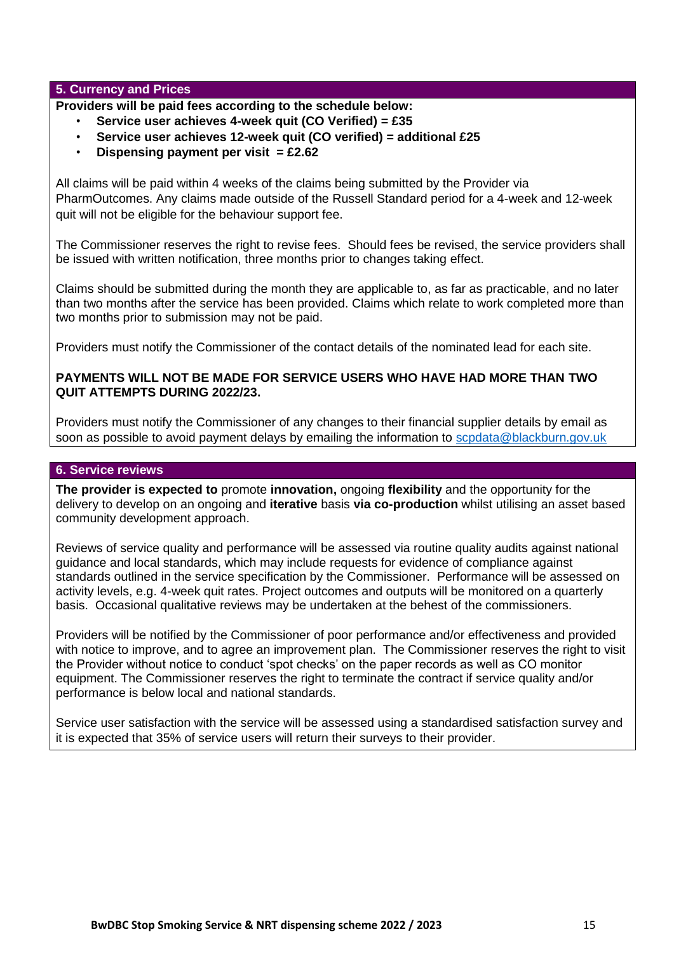### **5. Currency and Prices**

**Providers will be paid fees according to the schedule below:** 

- **Service user achieves 4-week quit (CO Verified) = £35**
- **Service user achieves 12-week quit (CO verified) = additional £25**
- **Dispensing payment per visit = £2.62**

All claims will be paid within 4 weeks of the claims being submitted by the Provider via PharmOutcomes. Any claims made outside of the Russell Standard period for a 4-week and 12-week quit will not be eligible for the behaviour support fee.

The Commissioner reserves the right to revise fees. Should fees be revised, the service providers shall be issued with written notification, three months prior to changes taking effect.

Claims should be submitted during the month they are applicable to, as far as practicable, and no later than two months after the service has been provided. Claims which relate to work completed more than two months prior to submission may not be paid.

Providers must notify the Commissioner of the contact details of the nominated lead for each site.

### **PAYMENTS WILL NOT BE MADE FOR SERVICE USERS WHO HAVE HAD MORE THAN TWO QUIT ATTEMPTS DURING 2022/23.**

Providers must notify the Commissioner of any changes to their financial supplier details by email as soon as possible to avoid payment delays by emailing the information to scpdata@blackburn.gov.uk

## **6. Service reviews**

**The provider is expected to** promote **innovation,** ongoing **flexibility** and the opportunity for the delivery to develop on an ongoing and **iterative** basis **via co-production** whilst utilising an asset based community development approach.

Reviews of service quality and performance will be assessed via routine quality audits against national guidance and local standards, which may include requests for evidence of compliance against standards outlined in the service specification by the Commissioner. Performance will be assessed on activity levels, e.g. 4-week quit rates. Project outcomes and outputs will be monitored on a quarterly basis. Occasional qualitative reviews may be undertaken at the behest of the commissioners.

Providers will be notified by the Commissioner of poor performance and/or effectiveness and provided with notice to improve, and to agree an improvement plan. The Commissioner reserves the right to visit the Provider without notice to conduct 'spot checks' on the paper records as well as CO monitor equipment. The Commissioner reserves the right to terminate the contract if service quality and/or performance is below local and national standards.

Service user satisfaction with the service will be assessed using a standardised satisfaction survey and it is expected that 35% of service users will return their surveys to their provider.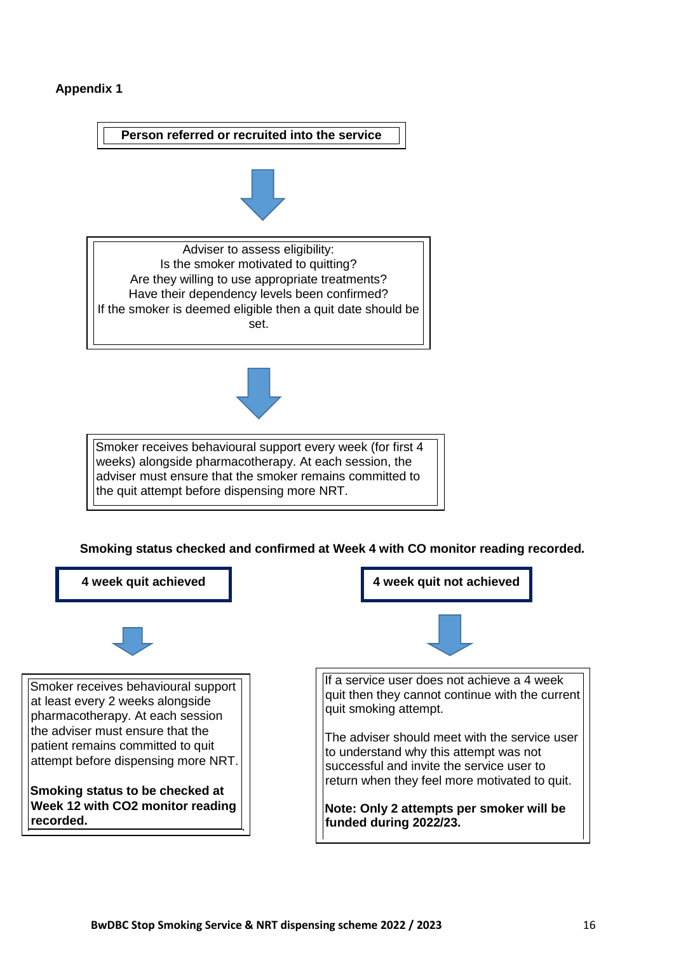### **Appendix 1**

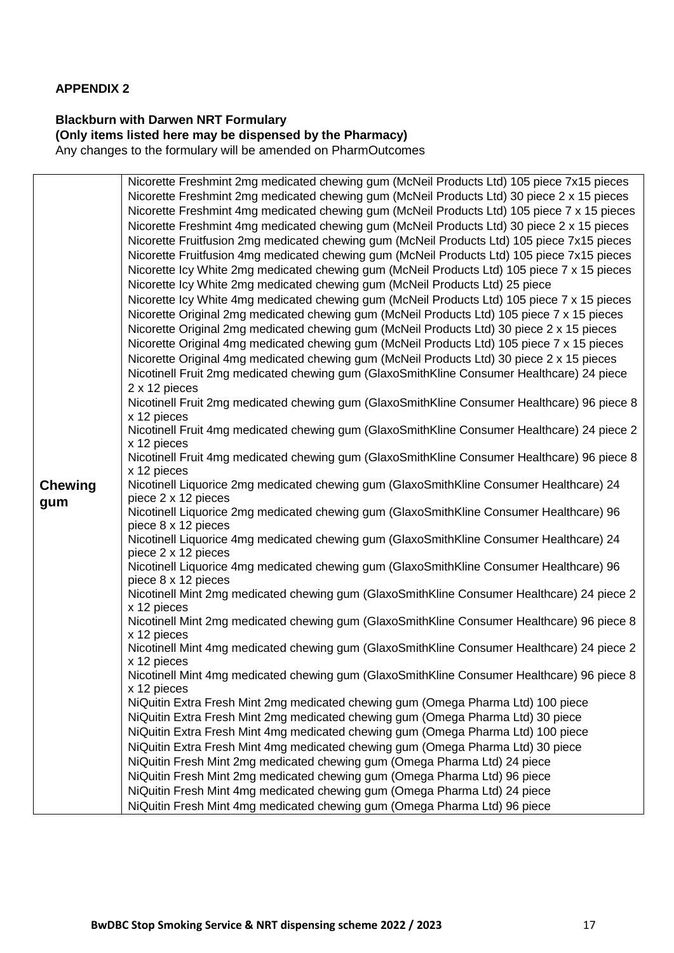## **APPENDIX 2**

### **Blackburn with Darwen NRT Formulary (Only items listed here may be dispensed by the Pharmacy)**  Any changes to the formulary will be amended on PharmOutcomes

**Chewing gum**  Nicorette Freshmint 2mg medicated chewing gum (McNeil Products Ltd) 105 piece 7x15 pieces Nicorette Freshmint 2mg medicated chewing gum (McNeil Products Ltd) 30 piece 2 x 15 pieces Nicorette Freshmint 4mg medicated chewing gum (McNeil Products Ltd) 105 piece 7 x 15 pieces Nicorette Freshmint 4mg medicated chewing gum (McNeil Products Ltd) 30 piece 2 x 15 pieces Nicorette Fruitfusion 2mg medicated chewing gum (McNeil Products Ltd) 105 piece 7x15 pieces Nicorette Fruitfusion 4mg medicated chewing gum (McNeil Products Ltd) 105 piece 7x15 pieces Nicorette Icy White 2mg medicated chewing gum (McNeil Products Ltd) 105 piece 7 x 15 pieces Nicorette Icy White 2mg medicated chewing gum (McNeil Products Ltd) 25 piece Nicorette Icy White 4mg medicated chewing gum (McNeil Products Ltd) 105 piece 7 x 15 pieces Nicorette Original 2mg medicated chewing gum (McNeil Products Ltd) 105 piece 7 x 15 pieces Nicorette Original 2mg medicated chewing gum (McNeil Products Ltd) 30 piece 2 x 15 pieces Nicorette Original 4mg medicated chewing gum (McNeil Products Ltd) 105 piece 7 x 15 pieces Nicorette Original 4mg medicated chewing gum (McNeil Products Ltd) 30 piece 2 x 15 pieces Nicotinell Fruit 2mg medicated chewing gum (GlaxoSmithKline Consumer Healthcare) 24 piece 2 x 12 pieces Nicotinell Fruit 2mg medicated chewing gum (GlaxoSmithKline Consumer Healthcare) 96 piece 8 x 12 pieces Nicotinell Fruit 4mg medicated chewing gum (GlaxoSmithKline Consumer Healthcare) 24 piece 2 x 12 pieces Nicotinell Fruit 4mg medicated chewing gum (GlaxoSmithKline Consumer Healthcare) 96 piece 8 x 12 pieces Nicotinell Liquorice 2mg medicated chewing gum (GlaxoSmithKline Consumer Healthcare) 24 piece 2 x 12 pieces Nicotinell Liquorice 2mg medicated chewing gum (GlaxoSmithKline Consumer Healthcare) 96 piece 8 x 12 pieces Nicotinell Liquorice 4mg medicated chewing gum (GlaxoSmithKline Consumer Healthcare) 24 piece 2 x 12 pieces Nicotinell Liquorice 4mg medicated chewing gum (GlaxoSmithKline Consumer Healthcare) 96 piece 8 x 12 pieces Nicotinell Mint 2mg medicated chewing gum (GlaxoSmithKline Consumer Healthcare) 24 piece 2 x 12 pieces Nicotinell Mint 2mg medicated chewing gum (GlaxoSmithKline Consumer Healthcare) 96 piece 8 x 12 pieces Nicotinell Mint 4mg medicated chewing gum (GlaxoSmithKline Consumer Healthcare) 24 piece 2 x 12 pieces Nicotinell Mint 4mg medicated chewing gum (GlaxoSmithKline Consumer Healthcare) 96 piece 8 x 12 pieces NiQuitin Extra Fresh Mint 2mg medicated chewing gum (Omega Pharma Ltd) 100 piece NiQuitin Extra Fresh Mint 2mg medicated chewing gum (Omega Pharma Ltd) 30 piece NiQuitin Extra Fresh Mint 4mg medicated chewing gum (Omega Pharma Ltd) 100 piece NiQuitin Extra Fresh Mint 4mg medicated chewing gum (Omega Pharma Ltd) 30 piece NiQuitin Fresh Mint 2mg medicated chewing gum (Omega Pharma Ltd) 24 piece NiQuitin Fresh Mint 2mg medicated chewing gum (Omega Pharma Ltd) 96 piece NiQuitin Fresh Mint 4mg medicated chewing gum (Omega Pharma Ltd) 24 piece NiQuitin Fresh Mint 4mg medicated chewing gum (Omega Pharma Ltd) 96 piece